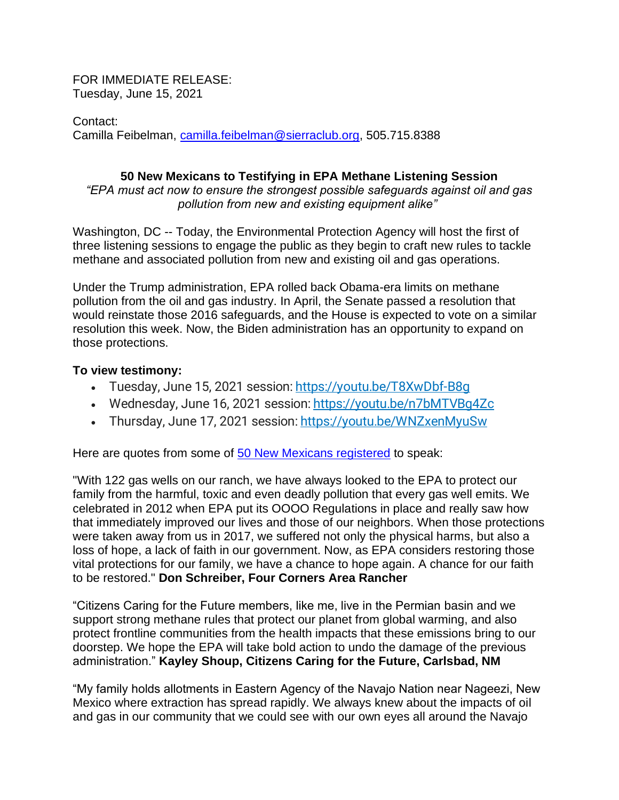FOR IMMEDIATE RELEASE: Tuesday, June 15, 2021

Contact: Camilla Feibelman, [camilla.feibelman@sierraclub.org,](mailto:camilla.feibelman@sierraclub.org) 505.715.8388

## **50 New Mexicans to Testifying in EPA Methane Listening Session**

*"EPA must act now to ensure the strongest possible safeguards against oil and gas pollution from new and existing equipment alike"*

Washington, DC -- Today, the Environmental Protection Agency will host the first of three listening sessions to engage the public as they begin to craft new rules to tackle methane and associated pollution from new and existing oil and gas operations.

Under the Trump administration, EPA rolled back Obama-era limits on methane pollution from the oil and gas industry. In April, the Senate passed a resolution that would reinstate those 2016 safeguards, and the House is expected to vote on a similar resolution this week. Now, the Biden administration has an opportunity to expand on those protections.

## **To view testimony:**

- Tuesday, June 15, 2021 session: https://youtu.be/T8XwDbf-B8q
- Wednesday, June 16, 2021 session: [https://youtu.be/n7bMTVBg4Zc](https://gcc02.safelinks.protection.outlook.com/?url=https%3A%2F%2Fyoutu.be%2Fn7bMTVBg4Zc&data=04%7C01%7CDavis.Alison%40epa.gov%7Ce39fe71c3fc84ebe005708d92c4e48ba%7C88b378b367484867acf976aacbeca6a7%7C0%7C0%7C637589536994391114%7CUnknown%7CTWFpbGZsb3d8eyJWIjoiMC4wLjAwMDAiLCJQIjoiV2luMzIiLCJBTiI6Ik1haWwiLCJXVCI6Mn0%3D%7C1000&sdata=PGR6jGGY95tFkti7HhnrRH1iPAq%2F1a%2FtB0fUlFo%2FLvk%3D&reserved=0)
- Thursday, June 17, 2021 session: [https://youtu.be/WNZxenMyuSw](https://gcc02.safelinks.protection.outlook.com/?url=https%3A%2F%2Fyoutu.be%2FWNZxenMyuSw&data=04%7C01%7CDavis.Alison%40epa.gov%7Ce39fe71c3fc84ebe005708d92c4e48ba%7C88b378b367484867acf976aacbeca6a7%7C0%7C0%7C637589536994391114%7CUnknown%7CTWFpbGZsb3d8eyJWIjoiMC4wLjAwMDAiLCJQIjoiV2luMzIiLCJBTiI6Ik1haWwiLCJXVCI6Mn0%3D%7C1000&sdata=8Vwf6iGFAq%2BnbTAvYjanVGrl%2FyFmqIBgTnxDUaIDXE0%3D&reserved=0)

Here are quotes from some of [50 New Mexicans registered](https://www.epa.gov/sites/production/files/2021-06/documents/speaker_list_for_2021_epa_oil_and_natural_gas_listening_sessions.pdf) to speak:

"With 122 gas wells on our ranch, we have always looked to the EPA to protect our family from the harmful, toxic and even deadly pollution that every gas well emits. We celebrated in 2012 when EPA put its OOOO Regulations in place and really saw how that immediately improved our lives and those of our neighbors. When those protections were taken away from us in 2017, we suffered not only the physical harms, but also a loss of hope, a lack of faith in our government. Now, as EPA considers restoring those vital protections for our family, we have a chance to hope again. A chance for our faith to be restored." **Don Schreiber, Four Corners Area Rancher**

"Citizens Caring for the Future members, like me, live in the Permian basin and we support strong methane rules that protect our planet from global warming, and also protect frontline communities from the health impacts that these emissions bring to our doorstep. We hope the EPA will take bold action to undo the damage of the previous administration." **Kayley Shoup, Citizens Caring for the Future, Carlsbad, NM**

"My family holds allotments in Eastern Agency of the Navajo Nation near Nageezi, New Mexico where extraction has spread rapidly. We always knew about the impacts of oil and gas in our community that we could see with our own eyes all around the Navajo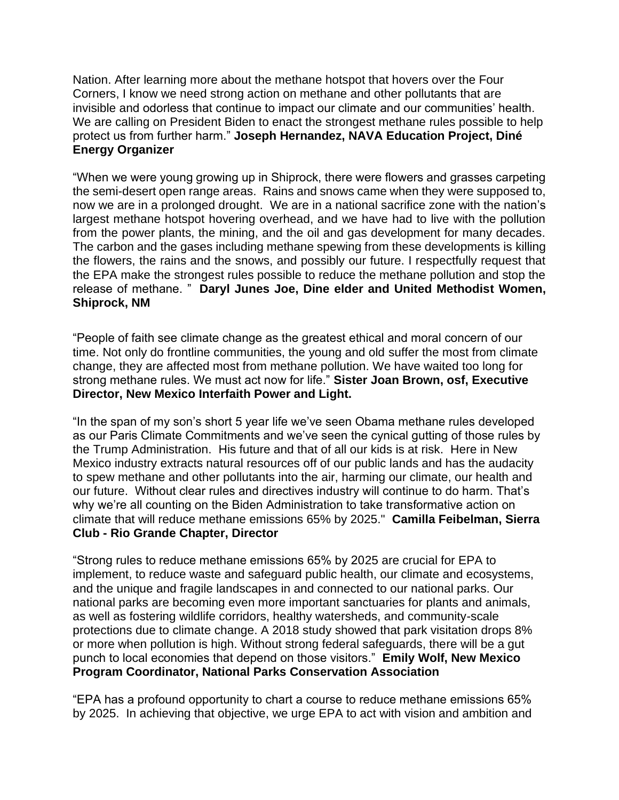Nation. After learning more about the methane hotspot that hovers over the Four Corners, I know we need strong action on methane and other pollutants that are invisible and odorless that continue to impact our climate and our communities' health. We are calling on President Biden to enact the strongest methane rules possible to help protect us from further harm." **Joseph Hernandez, NAVA Education Project, Diné Energy Organizer**

"When we were young growing up in Shiprock, there were flowers and grasses carpeting the semi-desert open range areas. Rains and snows came when they were supposed to, now we are in a prolonged drought. We are in a national sacrifice zone with the nation's largest methane hotspot hovering overhead, and we have had to live with the pollution from the power plants, the mining, and the oil and gas development for many decades. The carbon and the gases including methane spewing from these developments is killing the flowers, the rains and the snows, and possibly our future. I respectfully request that the EPA make the strongest rules possible to reduce the methane pollution and stop the release of methane. " **Daryl Junes Joe, Dine elder and United Methodist Women, Shiprock, NM**

"People of faith see climate change as the greatest ethical and moral concern of our time. Not only do frontline communities, the young and old suffer the most from climate change, they are affected most from methane pollution. We have waited too long for strong methane rules. We must act now for life." **Sister Joan Brown, osf, Executive Director, New Mexico Interfaith Power and Light.**

"In the span of my son's short 5 year life we've seen Obama methane rules developed as our Paris Climate Commitments and we've seen the cynical gutting of those rules by the Trump Administration. His future and that of all our kids is at risk. Here in New Mexico industry extracts natural resources off of our public lands and has the audacity to spew methane and other pollutants into the air, harming our climate, our health and our future. Without clear rules and directives industry will continue to do harm. That's why we're all counting on the Biden Administration to take transformative action on climate that will reduce methane emissions 65% by 2025." **Camilla Feibelman, Sierra Club - Rio Grande Chapter, Director**

"Strong rules to reduce methane emissions 65% by 2025 are crucial for EPA to implement, to reduce waste and safeguard public health, our climate and ecosystems, and the unique and fragile landscapes in and connected to our national parks. Our national parks are becoming even more important sanctuaries for plants and animals, as well as fostering wildlife corridors, healthy watersheds, and community-scale protections due to climate change. A 2018 study showed that park visitation drops 8% or more when pollution is high. Without strong federal safeguards, there will be a gut punch to local economies that depend on those visitors." **Emily Wolf, New Mexico Program Coordinator, National Parks Conservation Association**

"EPA has a profound opportunity to chart a course to reduce methane emissions 65% by 2025. In achieving that objective, we urge EPA to act with vision and ambition and